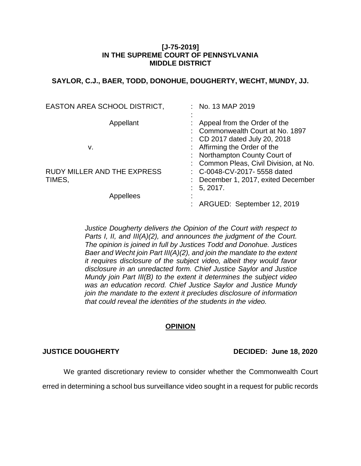### **[J-75-2019] IN THE SUPREME COURT OF PENNSYLVANIA MIDDLE DISTRICT**

# **SAYLOR, C.J., BAER, TODD, DONOHUE, DOUGHERTY, WECHT, MUNDY, JJ.**

| EASTON AREA SCHOOL DISTRICT,       | $:$ No. 13 MAP 2019                    |
|------------------------------------|----------------------------------------|
|                                    |                                        |
| Appellant                          | Appeal from the Order of the           |
|                                    | : Commonwealth Court at No. 1897       |
|                                    | : CD 2017 dated July 20, 2018          |
| v.                                 | : Affirming the Order of the           |
|                                    | : Northampton County Court of          |
|                                    | : Common Pleas, Civil Division, at No. |
| <b>RUDY MILLER AND THE EXPRESS</b> | $\therefore$ C-0048-CV-2017-5558 dated |
| TIMES,                             | December 1, 2017, exited December      |
|                                    | 5, 2017.                               |
| Appellees                          | ٠                                      |
|                                    | ARGUED: September 12, 2019             |

*Justice Dougherty delivers the Opinion of the Court with respect to Parts I, II, and III(A)(2), and announces the judgment of the Court. The opinion is joined in full by Justices Todd and Donohue. Justices Baer and Wecht join Part III(A)(2), and join the mandate to the extent it requires disclosure of the subject video, albeit they would favor disclosure in an unredacted form. Chief Justice Saylor and Justice Mundy join Part III(B) to the extent it determines the subject video was an education record. Chief Justice Saylor and Justice Mundy join the mandate to the extent it precludes disclosure of information that could reveal the identities of the students in the video.*

# **OPINION**

**JUSTICE DOUGHERTY DECIDED: June 18, 2020**

We granted discretionary review to consider whether the Commonwealth Court erred in determining a school bus surveillance video sought in a request for public records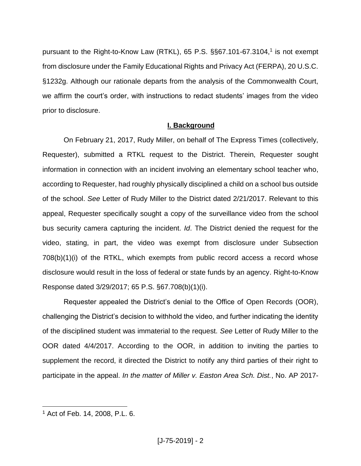pursuant to the Right-to-Know Law (RTKL), 65 P.S. §§67.101-67.3104,<sup>1</sup> is not exempt from disclosure under the Family Educational Rights and Privacy Act (FERPA), 20 U.S.C. §1232g. Although our rationale departs from the analysis of the Commonwealth Court, we affirm the court's order, with instructions to redact students' images from the video prior to disclosure.

# **I. Background**

On February 21, 2017, Rudy Miller, on behalf of The Express Times (collectively, Requester), submitted a RTKL request to the District. Therein, Requester sought information in connection with an incident involving an elementary school teacher who, according to Requester, had roughly physically disciplined a child on a school bus outside of the school. *See* Letter of Rudy Miller to the District dated 2/21/2017. Relevant to this appeal, Requester specifically sought a copy of the surveillance video from the school bus security camera capturing the incident. *Id*. The District denied the request for the video, stating, in part, the video was exempt from disclosure under Subsection 708(b)(1)(i) of the RTKL, which exempts from public record access a record whose disclosure would result in the loss of federal or state funds by an agency. Right-to-Know Response dated 3/29/2017; 65 P.S. §67.708(b)(1)(i).

Requester appealed the District's denial to the Office of Open Records (OOR), challenging the District's decision to withhold the video, and further indicating the identity of the disciplined student was immaterial to the request. *See* Letter of Rudy Miller to the OOR dated 4/4/2017. According to the OOR, in addition to inviting the parties to supplement the record, it directed the District to notify any third parties of their right to participate in the appeal. *In the matter of Miller v. Easton Area Sch. Dist.*, No. AP 2017-

<sup>1</sup> Act of Feb. 14, 2008, P.L. 6.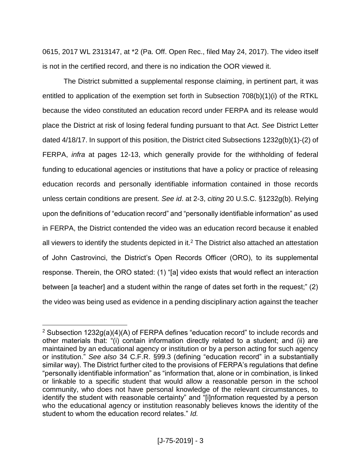0615, 2017 WL 2313147, at \*2 (Pa. Off. Open Rec., filed May 24, 2017). The video itself is not in the certified record, and there is no indication the OOR viewed it.

The District submitted a supplemental response claiming, in pertinent part, it was entitled to application of the exemption set forth in Subsection  $708(b)(1)(i)$  of the RTKL because the video constituted an education record under FERPA and its release would place the District at risk of losing federal funding pursuant to that Act. *See* District Letter dated 4/18/17. In support of this position, the District cited Subsections 1232g(b)(1)-(2) of FERPA, *infra* at pages 12-13, which generally provide for the withholding of federal funding to educational agencies or institutions that have a policy or practice of releasing education records and personally identifiable information contained in those records unless certain conditions are present. *See id*. at 2-3, *citing* 20 U.S.C. §1232g(b). Relying upon the definitions of "education record" and "personally identifiable information" as used in FERPA, the District contended the video was an education record because it enabled all viewers to identify the students depicted in it.<sup>2</sup> The District also attached an attestation of John Castrovinci, the District's Open Records Officer (ORO), to its supplemental response. Therein, the ORO stated: (1) "[a] video exists that would reflect an interaction between [a teacher] and a student within the range of dates set forth in the request;" (2) the video was being used as evidence in a pending disciplinary action against the teacher

<sup>&</sup>lt;sup>2</sup> Subsection 1232g(a)(4)(A) of FERPA defines "education record" to include records and other materials that: "(i) contain information directly related to a student; and (ii) are maintained by an educational agency or institution or by a person acting for such agency or institution." *See also* 34 C.F.R. §99.3 (defining "education record" in a substantially similar way). The District further cited to the provisions of FERPA's regulations that define "personally identifiable information" as "information that, alone or in combination, is linked or linkable to a specific student that would allow a reasonable person in the school community, who does not have personal knowledge of the relevant circumstances, to identify the student with reasonable certainty" and "[i]nformation requested by a person who the educational agency or institution reasonably believes knows the identity of the student to whom the education record relates." *Id.*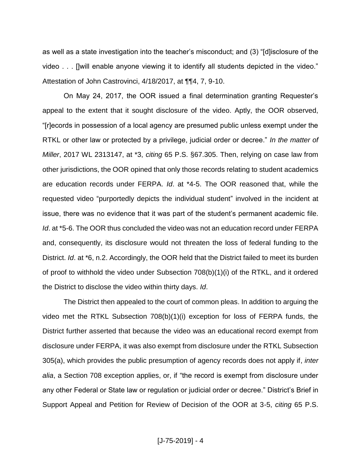as well as a state investigation into the teacher's misconduct; and (3) "[d]isclosure of the video . . . []will enable anyone viewing it to identify all students depicted in the video." Attestation of John Castrovinci, 4/18/2017, at ¶¶4, 7, 9-10.

On May 24, 2017, the OOR issued a final determination granting Requester's appeal to the extent that it sought disclosure of the video. Aptly, the OOR observed, "[r]ecords in possession of a local agency are presumed public unless exempt under the RTKL or other law or protected by a privilege, judicial order or decree." *In the matter of Miller*, 2017 WL 2313147, at \*3, *citing* 65 P.S. §67.305. Then, relying on case law from other jurisdictions, the OOR opined that only those records relating to student academics are education records under FERPA. *Id*. at \*4-5. The OOR reasoned that, while the requested video "purportedly depicts the individual student" involved in the incident at issue, there was no evidence that it was part of the student's permanent academic file. *Id*. at \*5-6. The OOR thus concluded the video was not an education record under FERPA and, consequently, its disclosure would not threaten the loss of federal funding to the District. *Id*. at \*6, n.2. Accordingly, the OOR held that the District failed to meet its burden of proof to withhold the video under Subsection 708(b)(1)(i) of the RTKL, and it ordered the District to disclose the video within thirty days. *Id*.

The District then appealed to the court of common pleas. In addition to arguing the video met the RTKL Subsection 708(b)(1)(i) exception for loss of FERPA funds, the District further asserted that because the video was an educational record exempt from disclosure under FERPA, it was also exempt from disclosure under the RTKL Subsection 305(a), which provides the public presumption of agency records does not apply if, *inter alia*, a Section 708 exception applies, or, if "the record is exempt from disclosure under any other Federal or State law or regulation or judicial order or decree." District's Brief in Support Appeal and Petition for Review of Decision of the OOR at 3-5, *citing* 65 P.S.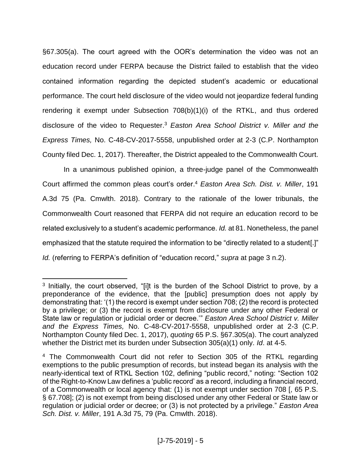§67.305(a). The court agreed with the OOR's determination the video was not an education record under FERPA because the District failed to establish that the video contained information regarding the depicted student's academic or educational performance. The court held disclosure of the video would not jeopardize federal funding rendering it exempt under Subsection 708(b)(1)(i) of the RTKL, and thus ordered disclosure of the video to Requester. <sup>3</sup> *Easton Area School District v. Miller and the Express Times,* No. C-48-CV-2017-5558, unpublished order at 2-3 (C.P. Northampton County filed Dec. 1, 2017). Thereafter, the District appealed to the Commonwealth Court.

In a unanimous published opinion, a three-judge panel of the Commonwealth Court affirmed the common pleas court's order.<sup>4</sup> *Easton Area Sch. Dist. v. Miller*, 191 A.3d 75 (Pa. Cmwlth. 2018). Contrary to the rationale of the lower tribunals, the Commonwealth Court reasoned that FERPA did not require an education record to be related exclusively to a student's academic performance. *Id.* at 81. Nonetheless, the panel emphasized that the statute required the information to be "directly related to a student[.]" *Id.* (referring to FERPA's definition of "education record," *supra* at page 3 n.2).

<sup>&</sup>lt;sup>3</sup> Initially, the court observed, "[i]t is the burden of the School District to prove, by a preponderance of the evidence, that the [public] presumption does not apply by demonstrating that: '(1) the record is exempt under section 708; (2) the record is protected by a privilege; or (3) the record is exempt from disclosure under any other Federal or State law or regulation or judicial order or decree.'" *Easton Area School District v. Miller and the Express Times,* No. C-48-CV-2017-5558, unpublished order at 2-3 (C.P. Northampton County filed Dec. 1, 2017), *quoting* 65 P.S. §67.305(a). The court analyzed whether the District met its burden under Subsection 305(a)(1) only. *Id*. at 4-5.

<sup>&</sup>lt;sup>4</sup> The Commonwealth Court did not refer to Section 305 of the RTKL regarding exemptions to the public presumption of records, but instead began its analysis with the nearly-identical text of RTKL Section 102, defining "public record," noting: "Section 102 of the Right-to-Know Law defines a 'public record' as a record, including a financial record, of a Commonwealth or local agency that: (1) is not exempt under section 708 [, 65 P.S. § 67.708]; (2) is not exempt from being disclosed under any other Federal or State law or regulation or judicial order or decree; or (3) is not protected by a privilege." *Easton Area Sch. Dist. v. Miller*, 191 A.3d 75, 79 (Pa. Cmwlth. 2018).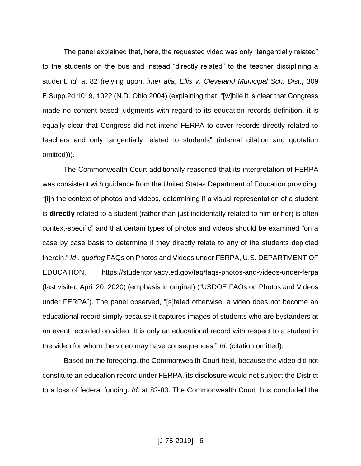The panel explained that, here, the requested video was only "tangentially related" to the students on the bus and instead "directly related" to the teacher disciplining a student. *Id.* at 82 (relying upon, *inter alia*, *Ellis v. Cleveland Municipal Sch. Dist.*, 309 F.Supp.2d 1019, 1022 (N.D. Ohio 2004) (explaining that, "[w]hile it is clear that Congress made no content-based judgments with regard to its education records definition, it is equally clear that Congress did not intend FERPA to cover records directly related to teachers and only tangentially related to students" (internal citation and quotation omitted))).

The Commonwealth Court additionally reasoned that its interpretation of FERPA was consistent with guidance from the United States Department of Education providing, "[i]n the context of photos and videos, determining if a visual representation of a student is **directly** related to a student (rather than just incidentally related to him or her) is often context-specific" and that certain types of photos and videos should be examined "on a case by case basis to determine if they directly relate to any of the students depicted therein." *Id*., *quoting* FAQs on Photos and Videos under FERPA, U.S. DEPARTMENT OF EDUCATION, https://studentprivacy.ed.gov/faq/faqs-photos-and-videos-under-ferpa (last visited April 20, 2020) (emphasis in original) ("USDOE FAQs on Photos and Videos under FERPA"). The panel observed, "[s]tated otherwise, a video does not become an educational record simply because it captures images of students who are bystanders at an event recorded on video. It is only an educational record with respect to a student in the video for whom the video may have consequences." *Id*. (citation omitted).

Based on the foregoing, the Commonwealth Court held, because the video did not constitute an education record under FERPA, its disclosure would not subject the District to a loss of federal funding. *Id*. at 82-83. The Commonwealth Court thus concluded the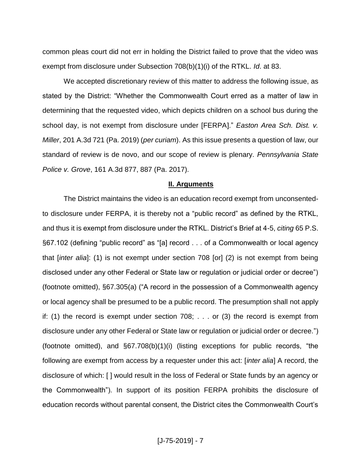common pleas court did not err in holding the District failed to prove that the video was exempt from disclosure under Subsection 708(b)(1)(i) of the RTKL. *Id*. at 83.

We accepted discretionary review of this matter to address the following issue, as stated by the District: "Whether the Commonwealth Court erred as a matter of law in determining that the requested video, which depicts children on a school bus during the school day, is not exempt from disclosure under [FERPA]." *Easton Area Sch. Dist. v. Miller*, 201 A.3d 721 (Pa. 2019) (*per curiam*). As this issue presents a question of law, our standard of review is de novo, and our scope of review is plenary. *Pennsylvania State Police v. Grove*, 161 A.3d 877, 887 (Pa. 2017).

#### **II. Arguments**

The District maintains the video is an education record exempt from unconsentedto disclosure under FERPA, it is thereby not a "public record" as defined by the RTKL, and thus it is exempt from disclosure under the RTKL. District's Brief at 4-5, *citing* 65 P.S. §67.102 (defining "public record" as "[a] record . . . of a Commonwealth or local agency that [*inter alia*]: (1) is not exempt under section 708 [or] (2) is not exempt from being disclosed under any other Federal or State law or regulation or judicial order or decree") (footnote omitted), §67.305(a) ("A record in the possession of a Commonwealth agency or local agency shall be presumed to be a public record. The presumption shall not apply if: (1) the record is exempt under section 708; . . . or (3) the record is exempt from disclosure under any other Federal or State law or regulation or judicial order or decree.") (footnote omitted), and §67.708(b)(1)(i) (listing exceptions for public records, "the following are exempt from access by a requester under this act: [*inter alia*] A record, the disclosure of which: [ ] would result in the loss of Federal or State funds by an agency or the Commonwealth"). In support of its position FERPA prohibits the disclosure of education records without parental consent, the District cites the Commonwealth Court's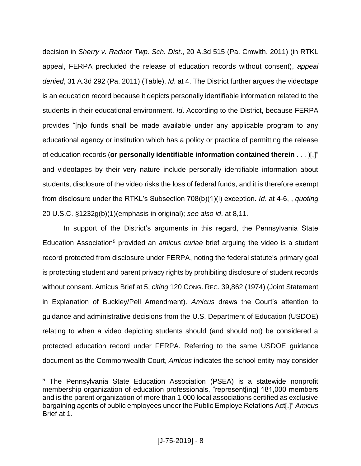decision in *Sherry v. Radnor Twp. Sch. Dist*., 20 A.3d 515 (Pa. Cmwlth. 2011) (in RTKL appeal, FERPA precluded the release of education records without consent), *appeal denied*, 31 A.3d 292 (Pa. 2011) (Table). *Id*. at 4. The District further argues the videotape is an education record because it depicts personally identifiable information related to the students in their educational environment. *Id*. According to the District, because FERPA provides "[n]o funds shall be made available under any applicable program to any educational agency or institution which has a policy or practice of permitting the release of education records (**or personally identifiable information contained therein** . . . )[,]" and videotapes by their very nature include personally identifiable information about students, disclosure of the video risks the loss of federal funds, and it is therefore exempt from disclosure under the RTKL's Subsection 708(b)(1)(i) exception. *Id*. at 4-6, , *quoting* 20 U.S.C. §1232g(b)(1)(emphasis in original); *see also id*. at 8,11*.*

In support of the District's arguments in this regard, the Pennsylvania State Education Association<sup>5</sup> provided an *amicus curiae* brief arguing the video is a student record protected from disclosure under FERPA, noting the federal statute's primary goal is protecting student and parent privacy rights by prohibiting disclosure of student records without consent. Amicus Brief at 5, *citing* 120 CONG. REC. 39,862 (1974) (Joint Statement in Explanation of Buckley/Pell Amendment). *Amicus* draws the Court's attention to guidance and administrative decisions from the U.S. Department of Education (USDOE) relating to when a video depicting students should (and should not) be considered a protected education record under FERPA. Referring to the same USDOE guidance document as the Commonwealth Court, *Amicus* indicates the school entity may consider

<sup>5</sup> The Pennsylvania State Education Association (PSEA) is a statewide nonprofit membership organization of education professionals, "represent[ing] 181,000 members and is the parent organization of more than 1,000 local associations certified as exclusive bargaining agents of public employees under the Public Employe Relations Act[.]" *Amicus*  Brief at 1.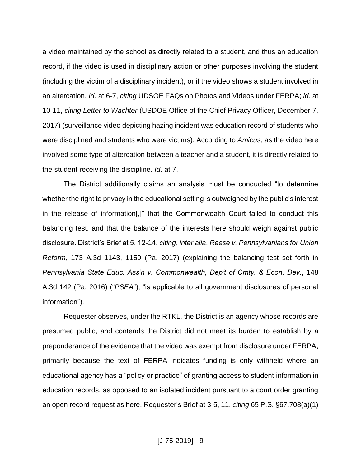a video maintained by the school as directly related to a student, and thus an education record, if the video is used in disciplinary action or other purposes involving the student (including the victim of a disciplinary incident), or if the video shows a student involved in an altercation. *Id*. at 6-7, *citing* UDSOE FAQs on Photos and Videos under FERPA; *id*. at 10-11, *citing Letter to Wachter* (USDOE Office of the Chief Privacy Officer, December 7, 2017) (surveillance video depicting hazing incident was education record of students who were disciplined and students who were victims). According to *Amicus*, as the video here involved some type of altercation between a teacher and a student, it is directly related to the student receiving the discipline. *Id*. at 7.

The District additionally claims an analysis must be conducted "to determine whether the right to privacy in the educational setting is outweighed by the public's interest in the release of information[,]" that the Commonwealth Court failed to conduct this balancing test, and that the balance of the interests here should weigh against public disclosure. District's Brief at 5, 12-14, *citing*, *inter alia*, *Reese v. Pennsylvanians for Union Reform,* 173 A.3d 1143, 1159 (Pa. 2017) (explaining the balancing test set forth in *Pennsylvania State Educ. Ass'n v. Commonwealth, Dep't of Cmty. & Econ. Dev.*, 148 A.3d 142 (Pa. 2016) ("*PSEA*"), "is applicable to all government disclosures of personal information").

Requester observes, under the RTKL, the District is an agency whose records are presumed public, and contends the District did not meet its burden to establish by a preponderance of the evidence that the video was exempt from disclosure under FERPA, primarily because the text of FERPA indicates funding is only withheld where an educational agency has a "policy or practice" of granting access to student information in education records, as opposed to an isolated incident pursuant to a court order granting an open record request as here. Requester's Brief at 3-5, 11, *citing* 65 P.S. §67.708(a)(1)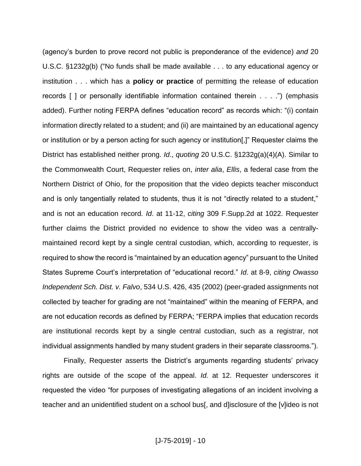(agency's burden to prove record not public is preponderance of the evidence) *and* 20 U.S.C. §1232g(b) ("No funds shall be made available . . . to any educational agency or institution . . . which has a **policy or practice** of permitting the release of education records [ ] or personally identifiable information contained therein . . . .") (emphasis added). Further noting FERPA defines "education record" as records which: "(i) contain information directly related to a student; and (ii) are maintained by an educational agency or institution or by a person acting for such agency or institution[,]" Requester claims the District has established neither prong. *Id*., *quoting* 20 U.S.C. §1232g(a)(4)(A). Similar to the Commonwealth Court, Requester relies on, *inter alia*, *Ellis*, a federal case from the Northern District of Ohio, for the proposition that the video depicts teacher misconduct and is only tangentially related to students, thus it is not "directly related to a student," and is not an education record. *Id*. at 11-12, *citing* 309 F.Supp.2d at 1022. Requester further claims the District provided no evidence to show the video was a centrallymaintained record kept by a single central custodian, which, according to requester, is required to show the record is "maintained by an education agency" pursuant to the United States Supreme Court's interpretation of "educational record." *Id*. at 8-9, *citing Owasso Independent Sch. Dist. v. Falvo*, 534 U.S. 426, 435 (2002) (peer-graded assignments not collected by teacher for grading are not "maintained" within the meaning of FERPA, and are not education records as defined by FERPA; "FERPA implies that education records are institutional records kept by a single central custodian, such as a registrar, not individual assignments handled by many student graders in their separate classrooms.").

Finally, Requester asserts the District's arguments regarding students' privacy rights are outside of the scope of the appeal. *Id.* at 12. Requester underscores it requested the video "for purposes of investigating allegations of an incident involving a teacher and an unidentified student on a school bus[, and d]isclosure of the [v]ideo is not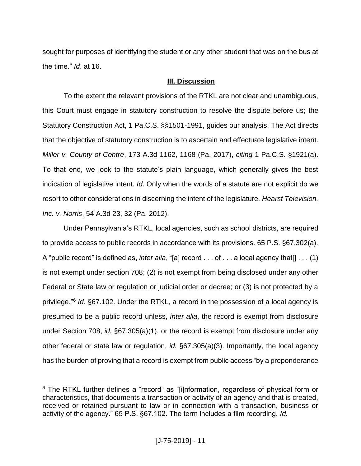sought for purposes of identifying the student or any other student that was on the bus at the time." *Id*. at 16.

# **III. Discussion**

To the extent the relevant provisions of the RTKL are not clear and unambiguous, this Court must engage in statutory construction to resolve the dispute before us; the Statutory Construction Act, 1 Pa.C.S. §§1501-1991, guides our analysis. The Act directs that the objective of statutory construction is to ascertain and effectuate legislative intent. *Miller v. County of Centre*, 173 A.3d 1162, 1168 (Pa. 2017), *citing* 1 Pa.C.S. §1921(a). To that end, we look to the statute's plain language, which generally gives the best indication of legislative intent. *Id*. Only when the words of a statute are not explicit do we resort to other considerations in discerning the intent of the legislature. *Hearst Television, Inc. v. Norris*, 54 A.3d 23, 32 (Pa. 2012).

Under Pennsylvania's RTKL, local agencies, such as school districts, are required to provide access to public records in accordance with its provisions. 65 P.S. §67.302(a). A "public record" is defined as, *inter alia*, "[a] record . . . of . . . a local agency that[] . . . (1) is not exempt under section 708; (2) is not exempt from being disclosed under any other Federal or State law or regulation or judicial order or decree; or (3) is not protected by a privilege."<sup>6</sup> *Id.* §67.102. Under the RTKL, a record in the possession of a local agency is presumed to be a public record unless, *inter alia*, the record is exempt from disclosure under Section 708, *id.* §67.305(a)(1), or the record is exempt from disclosure under any other federal or state law or regulation, *id.* §67.305(a)(3). Importantly, the local agency has the burden of proving that a record is exempt from public access "by a preponderance

 $\overline{a}$ <sup>6</sup> The RTKL further defines a "record" as "[i]nformation, regardless of physical form or characteristics, that documents a transaction or activity of an agency and that is created, received or retained pursuant to law or in connection with a transaction, business or activity of the agency." 65 P.S. §67.102. The term includes a film recording. *Id.*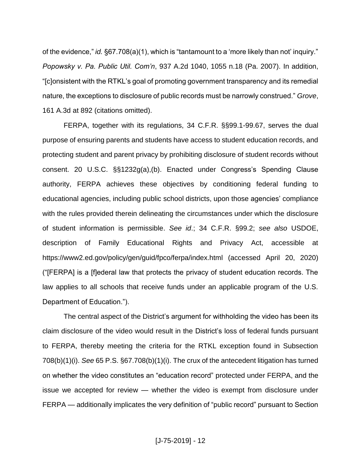of the evidence," *id.* §67.708(a)(1), which is "tantamount to a 'more likely than not' inquiry." *Popowsky v. Pa. Public Util. Com'n*, 937 A.2d 1040, 1055 n.18 (Pa. 2007). In addition, "[c]onsistent with the RTKL's goal of promoting government transparency and its remedial nature, the exceptions to disclosure of public records must be narrowly construed." *Grove*, 161 A.3d at 892 (citations omitted).

FERPA, together with its regulations, 34 C.F.R. §§99.1-99.67, serves the dual purpose of ensuring parents and students have access to student education records, and protecting student and parent privacy by prohibiting disclosure of student records without consent. 20 U.S.C. §§1232g(a),(b). Enacted under Congress's Spending Clause authority, FERPA achieves these objectives by conditioning federal funding to educational agencies, including public school districts, upon those agencies' compliance with the rules provided therein delineating the circumstances under which the disclosure of student information is permissible. *See id*.; 34 C.F.R. §99.2; *see also* USDOE, description of Family Educational Rights and Privacy Act, accessible at https://www2.ed.gov/policy/gen/guid/fpco/ferpa/index.html (accessed April 20, 2020) ("[FERPA] is a [f]ederal law that protects the privacy of student education records. The law applies to all schools that receive funds under an applicable program of the U.S. Department of Education.").

The central aspect of the District's argument for withholding the video has been its claim disclosure of the video would result in the District's loss of federal funds pursuant to FERPA, thereby meeting the criteria for the RTKL exception found in Subsection 708(b)(1)(i). *See* 65 P.S. §67.708(b)(1)(i). The crux of the antecedent litigation has turned on whether the video constitutes an "education record" protected under FERPA, and the issue we accepted for review — whether the video is exempt from disclosure under FERPA — additionally implicates the very definition of "public record" pursuant to Section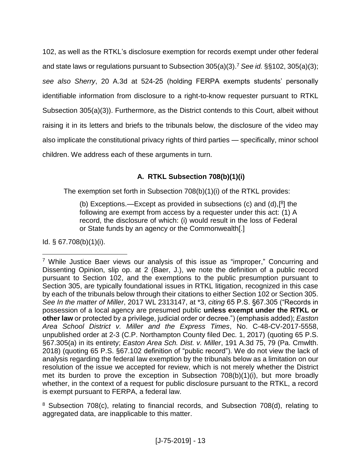102, as well as the RTKL's disclosure exemption for records exempt under other federal and state laws or regulations pursuant to Subsection 305(a)(3).<sup>7</sup> *See id.* §§102, 305(a)(3); *see also Sherry*, 20 A.3d at 524-25 (holding FERPA exempts students' personally identifiable information from disclosure to a right-to-know requester pursuant to RTKL Subsection 305(a)(3)). Furthermore, as the District contends to this Court, albeit without raising it in its letters and briefs to the tribunals below, the disclosure of the video may also implicate the constitutional privacy rights of third parties — specifically, minor school children. We address each of these arguments in turn.

# **A. RTKL Subsection 708(b)(1)(i)**

The exemption set forth in Subsection  $708(b)(1)(i)$  of the RTKL provides:

(b) Exceptions.—Except as provided in subsections (c) and  $(d)$ , $[8]$  the following are exempt from access by a requester under this act: (1) A record, the disclosure of which: (i) would result in the loss of Federal or State funds by an agency or the Commonwealth[.]

Id.  $\S$  67.708(b)(1)(i).

<sup>7</sup> While Justice Baer views our analysis of this issue as "improper," Concurring and Dissenting Opinion, slip op. at 2 (Baer, J.), we note the definition of a public record pursuant to Section 102, and the exemptions to the public presumption pursuant to Section 305, are typically foundational issues in RTKL litigation, recognized in this case by each of the tribunals below through their citations to either Section 102 or Section 305. *See In the matter of Miller*, 2017 WL 2313147, at \*3, *citing* 65 P.S. §67.305 ("Records in possession of a local agency are presumed public **unless exempt under the RTKL or other law** or protected by a privilege, judicial order or decree.") (emphasis added); *Easton Area School District v. Miller and the Express Times*, No. C-48-CV-2017-5558, unpublished order at 2-3 (C.P. Northampton County filed Dec. 1, 2017) (quoting 65 P.S. §67.305(a) in its entirety; *Easton Area Sch. Dist. v. Miller*, 191 A.3d 75, 79 (Pa. Cmwlth. 2018) (quoting 65 P.S. §67.102 definition of "public record"). We do not view the lack of analysis regarding the federal law exemption by the tribunals below as a limitation on our resolution of the issue we accepted for review, which is not merely whether the District met its burden to prove the exception in Subsection 708(b)(1)(i), but more broadly whether, in the context of a request for public disclosure pursuant to the RTKL, a record is exempt pursuant to FERPA, a federal law.

<sup>&</sup>lt;sup>8</sup> Subsection 708(c), relating to financial records, and Subsection 708(d), relating to aggregated data, are inapplicable to this matter.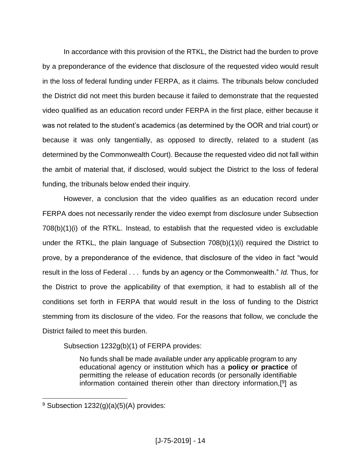In accordance with this provision of the RTKL, the District had the burden to prove by a preponderance of the evidence that disclosure of the requested video would result in the loss of federal funding under FERPA, as it claims. The tribunals below concluded the District did not meet this burden because it failed to demonstrate that the requested video qualified as an education record under FERPA in the first place, either because it was not related to the student's academics (as determined by the OOR and trial court) or because it was only tangentially, as opposed to directly, related to a student (as determined by the Commonwealth Court). Because the requested video did not fall within the ambit of material that, if disclosed, would subject the District to the loss of federal funding, the tribunals below ended their inquiry.

However, a conclusion that the video qualifies as an education record under FERPA does not necessarily render the video exempt from disclosure under Subsection 708(b)(1)(i) of the RTKL. Instead, to establish that the requested video is excludable under the RTKL, the plain language of Subsection 708(b)(1)(i) required the District to prove, by a preponderance of the evidence, that disclosure of the video in fact "would result in the loss of Federal . . . funds by an agency or the Commonwealth." *Id.* Thus, for the District to prove the applicability of that exemption, it had to establish all of the conditions set forth in FERPA that would result in the loss of funding to the District stemming from its disclosure of the video. For the reasons that follow, we conclude the District failed to meet this burden.

Subsection 1232g(b)(1) of FERPA provides:

No funds shall be made available under any applicable program to any educational agency or institution which has a **policy or practice** of permitting the release of education records (or personally identifiable information contained therein other than directory information,[<sup>9</sup>] as

<sup>&</sup>lt;sup>9</sup> Subsection  $1232(g)(a)(5)(A)$  provides: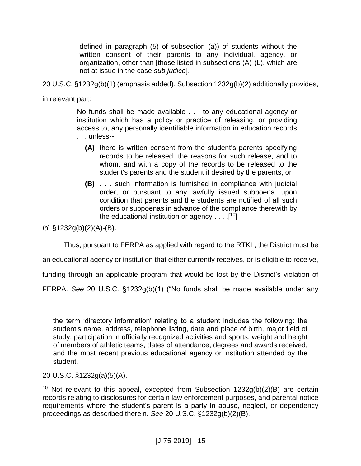defined in paragraph (5) of subsection (a)) of students without the written consent of their parents to any individual, agency, or organization, other than [those listed in subsections (A)-(L), which are not at issue in the case *sub judice*].

20 U.S.C. §1232g(b)(1) (emphasis added). Subsection 1232g(b)(2) additionally provides,

in relevant part:

No funds shall be made available . . . to any educational agency or institution which has a policy or practice of releasing, or providing access to, any personally identifiable information in education records . . . unless--

- **(A)** there is written consent from the student's parents specifying records to be released, the reasons for such release, and to whom, and with a copy of the records to be released to the student's parents and the student if desired by the parents, or
- **(B)** . . . such information is furnished in compliance with judicial order, or pursuant to any lawfully issued subpoena, upon condition that parents and the students are notified of all such orders or subpoenas in advance of the compliance therewith by the educational institution or agency  $\dots$  [<sup>10</sup>]

*Id.* §1232g(b)(2)(A)-(B).

 $\overline{a}$ 

Thus, pursuant to FERPA as applied with regard to the RTKL, the District must be

an educational agency or institution that either currently receives, or is eligible to receive,

funding through an applicable program that would be lost by the District's violation of

FERPA. *See* 20 U.S.C. §1232g(b)(1) ("No funds shall be made available under any

the term 'directory information' relating to a student includes the following: the student's name, address, telephone listing, date and place of birth, major field of study, participation in officially recognized activities and sports, weight and height of members of athletic teams, dates of attendance, degrees and awards received, and the most recent previous educational agency or institution attended by the student.

<sup>20</sup> U.S.C. §1232g(a)(5)(A).

<sup>&</sup>lt;sup>10</sup> Not relevant to this appeal, excepted from Subsection  $1232q(b)(2)(B)$  are certain records relating to disclosures for certain law enforcement purposes, and parental notice requirements where the student's parent is a party in abuse, neglect, or dependency proceedings as described therein. *See* 20 U.S.C. §1232g(b)(2)(B).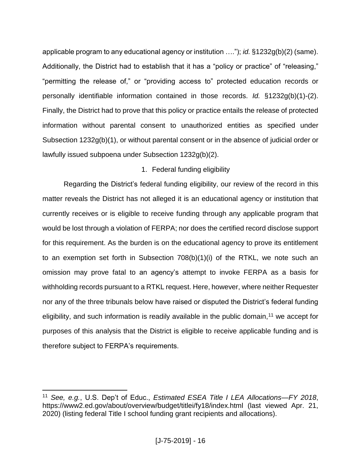applicable program to any educational agency or institution …."); *id.* §1232g(b)(2) (same). Additionally, the District had to establish that it has a "policy or practice" of "releasing," "permitting the release of," or "providing access to" protected education records or personally identifiable information contained in those records. *Id.* §1232g(b)(1)-(2). Finally, the District had to prove that this policy or practice entails the release of protected information without parental consent to unauthorized entities as specified under Subsection 1232g(b)(1), or without parental consent or in the absence of judicial order or lawfully issued subpoena under Subsection 1232g(b)(2).

# 1. Federal funding eligibility

Regarding the District's federal funding eligibility, our review of the record in this matter reveals the District has not alleged it is an educational agency or institution that currently receives or is eligible to receive funding through any applicable program that would be lost through a violation of FERPA; nor does the certified record disclose support for this requirement. As the burden is on the educational agency to prove its entitlement to an exemption set forth in Subsection 708(b)(1)(i) of the RTKL, we note such an omission may prove fatal to an agency's attempt to invoke FERPA as a basis for withholding records pursuant to a RTKL request. Here, however, where neither Requester nor any of the three tribunals below have raised or disputed the District's federal funding eligibility, and such information is readily available in the public domain,<sup>11</sup> we accept for purposes of this analysis that the District is eligible to receive applicable funding and is therefore subject to FERPA's requirements.

<sup>11</sup> *See, e.g.*, U.S. Dep't of Educ., *Estimated ESEA Title I LEA Allocations—FY 2018*, https://www2.ed.gov/about/overview/budget/titlei/fy18/index.html (last viewed Apr. 21, 2020) (listing federal Title I school funding grant recipients and allocations).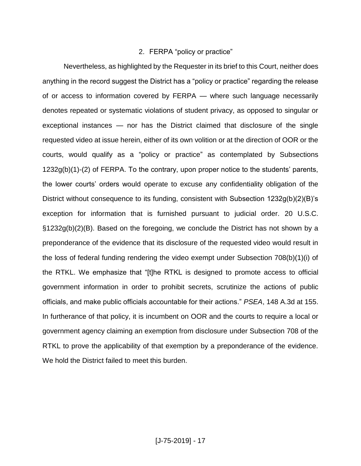# 2. FERPA "policy or practice"

Nevertheless, as highlighted by the Requester in its brief to this Court, neither does anything in the record suggest the District has a "policy or practice" regarding the release of or access to information covered by FERPA — where such language necessarily denotes repeated or systematic violations of student privacy, as opposed to singular or exceptional instances — nor has the District claimed that disclosure of the single requested video at issue herein, either of its own volition or at the direction of OOR or the courts, would qualify as a "policy or practice" as contemplated by Subsections 1232g(b)(1)-(2) of FERPA. To the contrary, upon proper notice to the students' parents, the lower courts' orders would operate to excuse any confidentiality obligation of the District without consequence to its funding, consistent with Subsection 1232g(b)(2)(B)'s exception for information that is furnished pursuant to judicial order. 20 U.S.C. §1232g(b)(2)(B). Based on the foregoing, we conclude the District has not shown by a preponderance of the evidence that its disclosure of the requested video would result in the loss of federal funding rendering the video exempt under Subsection 708(b)(1)(i) of the RTKL. We emphasize that "[t]he RTKL is designed to promote access to official government information in order to prohibit secrets, scrutinize the actions of public officials, and make public officials accountable for their actions." *PSEA*, 148 A.3d at 155. In furtherance of that policy, it is incumbent on OOR and the courts to require a local or government agency claiming an exemption from disclosure under Subsection 708 of the RTKL to prove the applicability of that exemption by a preponderance of the evidence. We hold the District failed to meet this burden.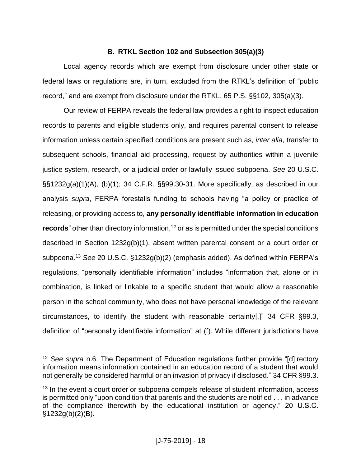# **B. RTKL Section 102 and Subsection 305(a)(3)**

Local agency records which are exempt from disclosure under other state or federal laws or regulations are, in turn, excluded from the RTKL's definition of "public record," and are exempt from disclosure under the RTKL. 65 P.S. §§102, 305(a)(3).

Our review of FERPA reveals the federal law provides a right to inspect education records to parents and eligible students only, and requires parental consent to release information unless certain specified conditions are present such as, *inter alia*, transfer to subsequent schools, financial aid processing, request by authorities within a juvenile justice system, research, or a judicial order or lawfully issued subpoena. *See* 20 U.S.C. §§1232g(a)(1)(A), (b)(1); 34 C.F.R. §§99.30-31. More specifically, as described in our analysis *supra*, FERPA forestalls funding to schools having "a policy or practice of releasing, or providing access to, **any personally identifiable information in education records**" other than directory information, <sup>12</sup> or as is permitted under the special conditions described in Section 1232g(b)(1), absent written parental consent or a court order or subpoena.<sup>13</sup> *See* 20 U.S.C. §1232g(b)(2) (emphasis added). As defined within FERPA's regulations, "personally identifiable information" includes "information that, alone or in combination, is linked or linkable to a specific student that would allow a reasonable person in the school community, who does not have personal knowledge of the relevant circumstances, to identify the student with reasonable certainty[.]" 34 CFR §99.3, definition of "personally identifiable information" at (f). While different jurisdictions have

<sup>12</sup> *See supra* n.6. The Department of Education regulations further provide "[d]irectory information means information contained in an education record of a student that would not generally be considered harmful or an invasion of privacy if disclosed." 34 CFR §99.3.

<sup>&</sup>lt;sup>13</sup> In the event a court order or subpoena compels release of student information, access is permitted only "upon condition that parents and the students are notified . . . in advance of the compliance therewith by the educational institution or agency." 20 U.S.C.  $§1232g(b)(2)(B)$ .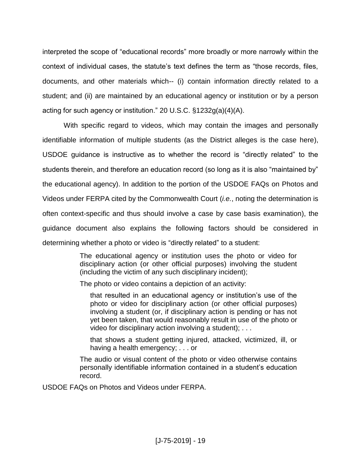interpreted the scope of "educational records" more broadly or more narrowly within the context of individual cases, the statute's text defines the term as "those records, files, documents, and other materials which-- (i) contain information directly related to a student; and (ii) are maintained by an educational agency or institution or by a person acting for such agency or institution." 20 U.S.C. §1232g(a)(4)(A).

With specific regard to videos, which may contain the images and personally identifiable information of multiple students (as the District alleges is the case here), USDOE guidance is instructive as to whether the record is "directly related" to the students therein, and therefore an education record (so long as it is also "maintained by" the educational agency). In addition to the portion of the USDOE FAQs on Photos and Videos under FERPA cited by the Commonwealth Court (*i.e.*, noting the determination is often context-specific and thus should involve a case by case basis examination), the guidance document also explains the following factors should be considered in determining whether a photo or video is "directly related" to a student:

> The educational agency or institution uses the photo or video for disciplinary action (or other official purposes) involving the student (including the victim of any such disciplinary incident);

The photo or video contains a depiction of an activity:

that resulted in an educational agency or institution's use of the photo or video for disciplinary action (or other official purposes) involving a student (or, if disciplinary action is pending or has not yet been taken, that would reasonably result in use of the photo or video for disciplinary action involving a student); . . .

that shows a student getting injured, attacked, victimized, ill, or having a health emergency; . . . or

The audio or visual content of the photo or video otherwise contains personally identifiable information contained in a student's education record.

USDOE FAQs on Photos and Videos under FERPA.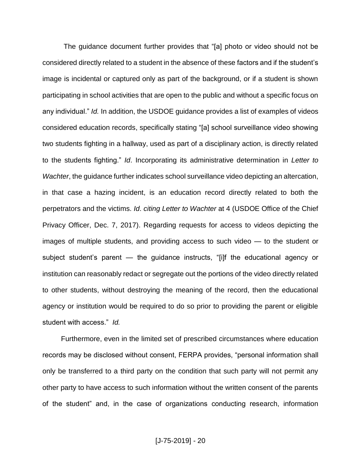The guidance document further provides that "[a] photo or video should not be considered directly related to a student in the absence of these factors and if the student's image is incidental or captured only as part of the background, or if a student is shown participating in school activities that are open to the public and without a specific focus on any individual." *Id.* In addition, the USDOE guidance provides a list of examples of videos considered education records, specifically stating "[a] school surveillance video showing two students fighting in a hallway, used as part of a disciplinary action, is directly related to the students fighting." *Id*. Incorporating its administrative determination in *Letter to Wachter*, the guidance further indicates school surveillance video depicting an altercation, in that case a hazing incident, is an education record directly related to both the perpetrators and the victims. *Id*. *citing Letter to Wachter* at 4 (USDOE Office of the Chief Privacy Officer, Dec. 7, 2017). Regarding requests for access to videos depicting the images of multiple students, and providing access to such video — to the student or subject student's parent — the guidance instructs, "[i]f the educational agency or institution can reasonably redact or segregate out the portions of the video directly related to other students, without destroying the meaning of the record, then the educational agency or institution would be required to do so prior to providing the parent or eligible student with access." *Id.*

Furthermore, even in the limited set of prescribed circumstances where education records may be disclosed without consent, FERPA provides, "personal information shall only be transferred to a third party on the condition that such party will not permit any other party to have access to such information without the written consent of the parents of the student" and, in the case of organizations conducting research, information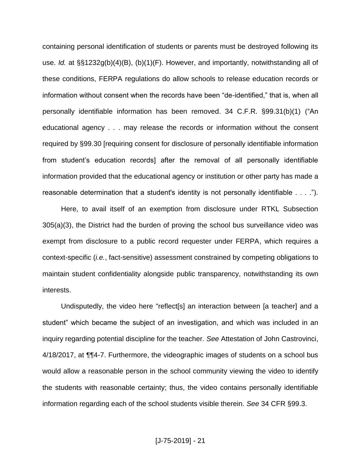containing personal identification of students or parents must be destroyed following its use. *Id.* at §§1232g(b)(4)(B), (b)(1)(F). However, and importantly, notwithstanding all of these conditions, FERPA regulations do allow schools to release education records or information without consent when the records have been "de-identified," that is, when all personally identifiable information has been removed. 34 C.F.R. §99.31(b)(1) ("An educational agency . . . may release the records or information without the consent required by §99.30 [requiring consent for disclosure of personally identifiable information from student's education records] after the removal of all personally identifiable information provided that the educational agency or institution or other party has made a reasonable determination that a student's identity is not personally identifiable . . . .").

Here, to avail itself of an exemption from disclosure under RTKL Subsection 305(a)(3), the District had the burden of proving the school bus surveillance video was exempt from disclosure to a public record requester under FERPA, which requires a context-specific (*i.e.*, fact-sensitive) assessment constrained by competing obligations to maintain student confidentiality alongside public transparency, notwithstanding its own interests.

Undisputedly, the video here "reflect[s] an interaction between [a teacher] and a student" which became the subject of an investigation, and which was included in an inquiry regarding potential discipline for the teacher. *See* Attestation of John Castrovinci, 4/18/2017, at ¶¶4-7. Furthermore, the videographic images of students on a school bus would allow a reasonable person in the school community viewing the video to identify the students with reasonable certainty; thus, the video contains personally identifiable information regarding each of the school students visible therein. *See* 34 CFR §99.3.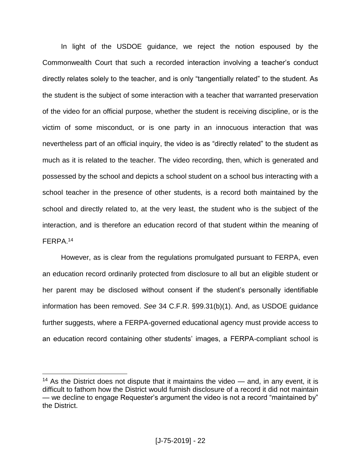In light of the USDOE guidance, we reject the notion espoused by the Commonwealth Court that such a recorded interaction involving a teacher's conduct directly relates solely to the teacher, and is only "tangentially related" to the student. As the student is the subject of some interaction with a teacher that warranted preservation of the video for an official purpose, whether the student is receiving discipline, or is the victim of some misconduct, or is one party in an innocuous interaction that was nevertheless part of an official inquiry, the video is as "directly related" to the student as much as it is related to the teacher. The video recording, then, which is generated and possessed by the school and depicts a school student on a school bus interacting with a school teacher in the presence of other students, is a record both maintained by the school and directly related to, at the very least, the student who is the subject of the interaction, and is therefore an education record of that student within the meaning of FERPA. 14

However, as is clear from the regulations promulgated pursuant to FERPA, even an education record ordinarily protected from disclosure to all but an eligible student or her parent may be disclosed without consent if the student's personally identifiable information has been removed. *See* 34 C.F.R. §99.31(b)(1). And, as USDOE guidance further suggests, where a FERPA-governed educational agency must provide access to an education record containing other students' images, a FERPA-compliant school is

<sup>&</sup>lt;sup>14</sup> As the District does not dispute that it maintains the video  $-$  and, in any event, it is difficult to fathom how the District would furnish disclosure of a record it did not maintain — we decline to engage Requester's argument the video is not a record "maintained by" the District.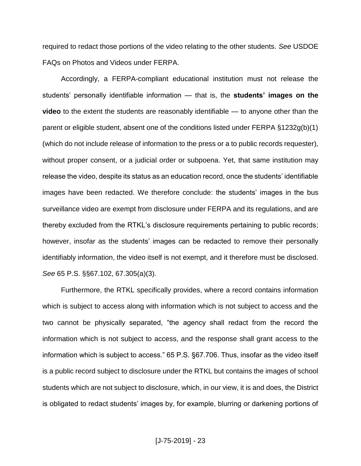required to redact those portions of the video relating to the other students. *See* USDOE FAQs on Photos and Videos under FERPA.

Accordingly, a FERPA-compliant educational institution must not release the students' personally identifiable information — that is, the **students' images on the video** to the extent the students are reasonably identifiable — to anyone other than the parent or eligible student, absent one of the conditions listed under FERPA §1232g(b)(1) (which do not include release of information to the press or a to public records requester), without proper consent, or a judicial order or subpoena. Yet, that same institution may release the video, despite its status as an education record, once the students' identifiable images have been redacted. We therefore conclude: the students' images in the bus surveillance video are exempt from disclosure under FERPA and its regulations, and are thereby excluded from the RTKL's disclosure requirements pertaining to public records; however, insofar as the students' images can be redacted to remove their personally identifiably information, the video itself is not exempt, and it therefore must be disclosed. *See* 65 P.S. §§67.102, 67.305(a)(3).

Furthermore, the RTKL specifically provides, where a record contains information which is subject to access along with information which is not subject to access and the two cannot be physically separated, "the agency shall redact from the record the information which is not subject to access, and the response shall grant access to the information which is subject to access." 65 P.S. §67.706. Thus, insofar as the video itself is a public record subject to disclosure under the RTKL but contains the images of school students which are not subject to disclosure, which, in our view, it is and does, the District is obligated to redact students' images by, for example, blurring or darkening portions of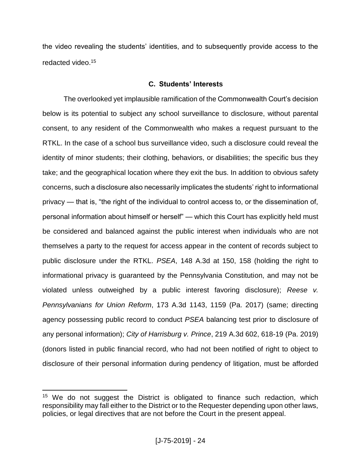the video revealing the students' identities, and to subsequently provide access to the redacted video.<sup>15</sup>

# **C. Students' Interests**

The overlooked yet implausible ramification of the Commonwealth Court's decision below is its potential to subject any school surveillance to disclosure, without parental consent, to any resident of the Commonwealth who makes a request pursuant to the RTKL. In the case of a school bus surveillance video, such a disclosure could reveal the identity of minor students; their clothing, behaviors, or disabilities; the specific bus they take; and the geographical location where they exit the bus. In addition to obvious safety concerns, such a disclosure also necessarily implicates the students' right to informational privacy — that is, "the right of the individual to control access to, or the dissemination of, personal information about himself or herself" — which this Court has explicitly held must be considered and balanced against the public interest when individuals who are not themselves a party to the request for access appear in the content of records subject to public disclosure under the RTKL. *PSEA*, 148 A.3d at 150, 158 (holding the right to informational privacy is guaranteed by the Pennsylvania Constitution, and may not be violated unless outweighed by a public interest favoring disclosure); *Reese v. Pennsylvanians for Union Reform*, 173 A.3d 1143, 1159 (Pa. 2017) (same; directing agency possessing public record to conduct *PSEA* balancing test prior to disclosure of any personal information); *City of Harrisburg v. Prince*, 219 A.3d 602, 618-19 (Pa. 2019) (donors listed in public financial record, who had not been notified of right to object to disclosure of their personal information during pendency of litigation, must be afforded

 $15$  We do not suggest the District is obligated to finance such redaction, which responsibility may fall either to the District or to the Requester depending upon other laws, policies, or legal directives that are not before the Court in the present appeal.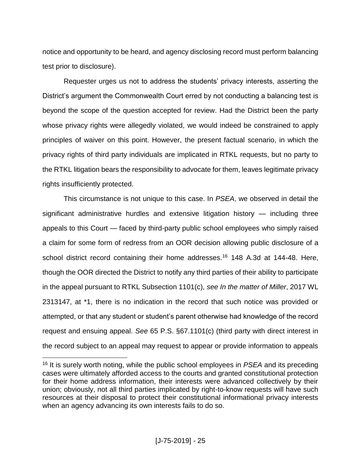notice and opportunity to be heard, and agency disclosing record must perform balancing test prior to disclosure).

Requester urges us not to address the students' privacy interests, asserting the District's argument the Commonwealth Court erred by not conducting a balancing test is beyond the scope of the question accepted for review. Had the District been the party whose privacy rights were allegedly violated, we would indeed be constrained to apply principles of waiver on this point. However, the present factual scenario, in which the privacy rights of third party individuals are implicated in RTKL requests, but no party to the RTKL litigation bears the responsibility to advocate for them, leaves legitimate privacy rights insufficiently protected.

This circumstance is not unique to this case. In *PSEA*, we observed in detail the significant administrative hurdles and extensive litigation history — including three appeals to this Court — faced by third-party public school employees who simply raised a claim for some form of redress from an OOR decision allowing public disclosure of a school district record containing their home addresses.<sup>16</sup> 148 A.3d at 144-48. Here, though the OOR directed the District to notify any third parties of their ability to participate in the appeal pursuant to RTKL Subsection 1101(c), *see In the matter of Miller*, 2017 WL 2313147, at \*1, there is no indication in the record that such notice was provided or attempted, or that any student or student's parent otherwise had knowledge of the record request and ensuing appeal. *See* 65 P.S. §67.1101(c) (third party with direct interest in the record subject to an appeal may request to appear or provide information to appeals

<sup>16</sup> It is surely worth noting, while the public school employees in *PSEA* and its preceding cases were ultimately afforded access to the courts and granted constitutional protection for their home address information, their interests were advanced collectively by their union; obviously, not all third parties implicated by right-to-know requests will have such resources at their disposal to protect their constitutional informational privacy interests when an agency advancing its own interests fails to do so.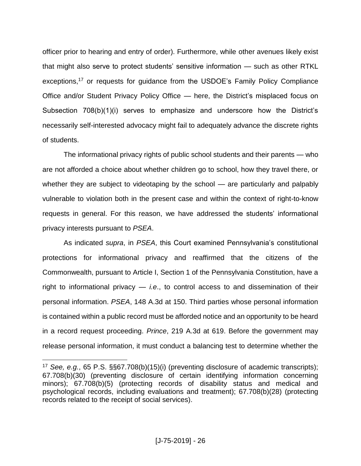officer prior to hearing and entry of order). Furthermore, while other avenues likely exist that might also serve to protect students' sensitive information — such as other RTKL exceptions,<sup>17</sup> or requests for quidance from the USDOE's Family Policy Compliance Office and/or Student Privacy Policy Office — here, the District's misplaced focus on Subsection 708(b)(1)(i) serves to emphasize and underscore how the District's necessarily self-interested advocacy might fail to adequately advance the discrete rights of students.

The informational privacy rights of public school students and their parents — who are not afforded a choice about whether children go to school, how they travel there, or whether they are subject to videotaping by the school — are particularly and palpably vulnerable to violation both in the present case and within the context of right-to-know requests in general. For this reason, we have addressed the students' informational privacy interests pursuant to *PSEA*.

As indicated *supra*, in *PSEA*, this Court examined Pennsylvania's constitutional protections for informational privacy and reaffirmed that the citizens of the Commonwealth, pursuant to Article I, Section 1 of the Pennsylvania Constitution, have a right to informational privacy — *i.e*., to control access to and dissemination of their personal information. *PSEA*, 148 A.3d at 150. Third parties whose personal information is contained within a public record must be afforded notice and an opportunity to be heard in a record request proceeding. *Prince*, 219 A.3d at 619. Before the government may release personal information, it must conduct a balancing test to determine whether the

<sup>17</sup> *See, e.g.*, 65 P.S. §§67.708(b)(15)(i) (preventing disclosure of academic transcripts); 67.708(b)(30) (preventing disclosure of certain identifying information concerning minors); 67.708(b)(5) (protecting records of disability status and medical and psychological records, including evaluations and treatment); 67.708(b)(28) (protecting records related to the receipt of social services).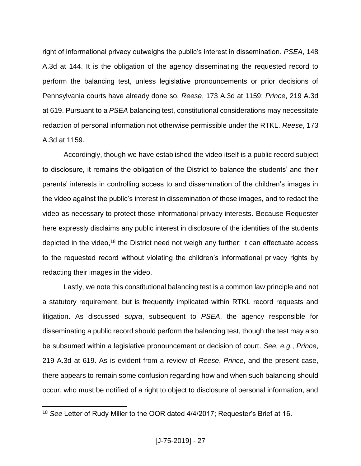right of informational privacy outweighs the public's interest in dissemination. *PSEA*, 148 A.3d at 144. It is the obligation of the agency disseminating the requested record to perform the balancing test, unless legislative pronouncements or prior decisions of Pennsylvania courts have already done so. *Reese*, 173 A.3d at 1159; *Prince*, 219 A.3d at 619. Pursuant to a *PSEA* balancing test, constitutional considerations may necessitate redaction of personal information not otherwise permissible under the RTKL. *Reese*, 173 A.3d at 1159.

Accordingly, though we have established the video itself is a public record subject to disclosure, it remains the obligation of the District to balance the students' and their parents' interests in controlling access to and dissemination of the children's images in the video against the public's interest in dissemination of those images, and to redact the video as necessary to protect those informational privacy interests. Because Requester here expressly disclaims any public interest in disclosure of the identities of the students depicted in the video,<sup>18</sup> the District need not weigh any further; it can effectuate access to the requested record without violating the children's informational privacy rights by redacting their images in the video.

Lastly, we note this constitutional balancing test is a common law principle and not a statutory requirement, but is frequently implicated within RTKL record requests and litigation. As discussed *supra*, subsequent to *PSEA*, the agency responsible for disseminating a public record should perform the balancing test, though the test may also be subsumed within a legislative pronouncement or decision of court. *See, e.g.*, *Prince*, 219 A.3d at 619. As is evident from a review of *Reese*, *Prince*, and the present case, there appears to remain some confusion regarding how and when such balancing should occur, who must be notified of a right to object to disclosure of personal information, and

<sup>18</sup> *See* Letter of Rudy Miller to the OOR dated 4/4/2017; Requester's Brief at 16.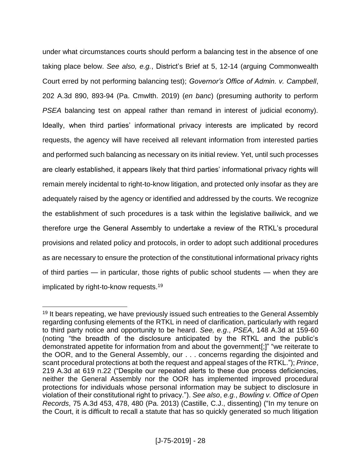under what circumstances courts should perform a balancing test in the absence of one taking place below. *See also, e.g.*, District's Brief at 5, 12-14 (arguing Commonwealth Court erred by not performing balancing test); *Governor's Office of Admin. v. Campbell*, 202 A.3d 890, 893-94 (Pa. Cmwlth. 2019) (*en banc*) (presuming authority to perform *PSEA* balancing test on appeal rather than remand in interest of judicial economy). Ideally, when third parties' informational privacy interests are implicated by record requests, the agency will have received all relevant information from interested parties and performed such balancing as necessary on its initial review. Yet, until such processes are clearly established, it appears likely that third parties' informational privacy rights will remain merely incidental to right-to-know litigation, and protected only insofar as they are adequately raised by the agency or identified and addressed by the courts. We recognize the establishment of such procedures is a task within the legislative bailiwick, and we therefore urge the General Assembly to undertake a review of the RTKL's procedural provisions and related policy and protocols, in order to adopt such additional procedures as are necessary to ensure the protection of the constitutional informational privacy rights of third parties — in particular, those rights of public school students — when they are implicated by right-to-know requests.<sup>19</sup>

<sup>&</sup>lt;sup>19</sup> It bears repeating, we have previously issued such entreaties to the General Assembly regarding confusing elements of the RTKL in need of clarification, particularly with regard to third party notice and opportunity to be heard. *See, e.g*., *PSEA*, 148 A.3d at 159-60 (noting "the breadth of the disclosure anticipated by the RTKL and the public's demonstrated appetite for information from and about the government[;]" "we reiterate to the OOR, and to the General Assembly, our . . . concerns regarding the disjointed and scant procedural protections at both the request and appeal stages of the RTKL."); *Prince*, 219 A.3d at 619 n.22 ("Despite our repeated alerts to these due process deficiencies, neither the General Assembly nor the OOR has implemented improved procedural protections for individuals whose personal information may be subject to disclosure in violation of their constitutional right to privacy."). *See also*, *e.g.*, *Bowling v. Office of Open Records*, 75 A.3d 453, 478, 480 (Pa. 2013) (Castille, C.J., dissenting) ("In my tenure on the Court, it is difficult to recall a statute that has so quickly generated so much litigation